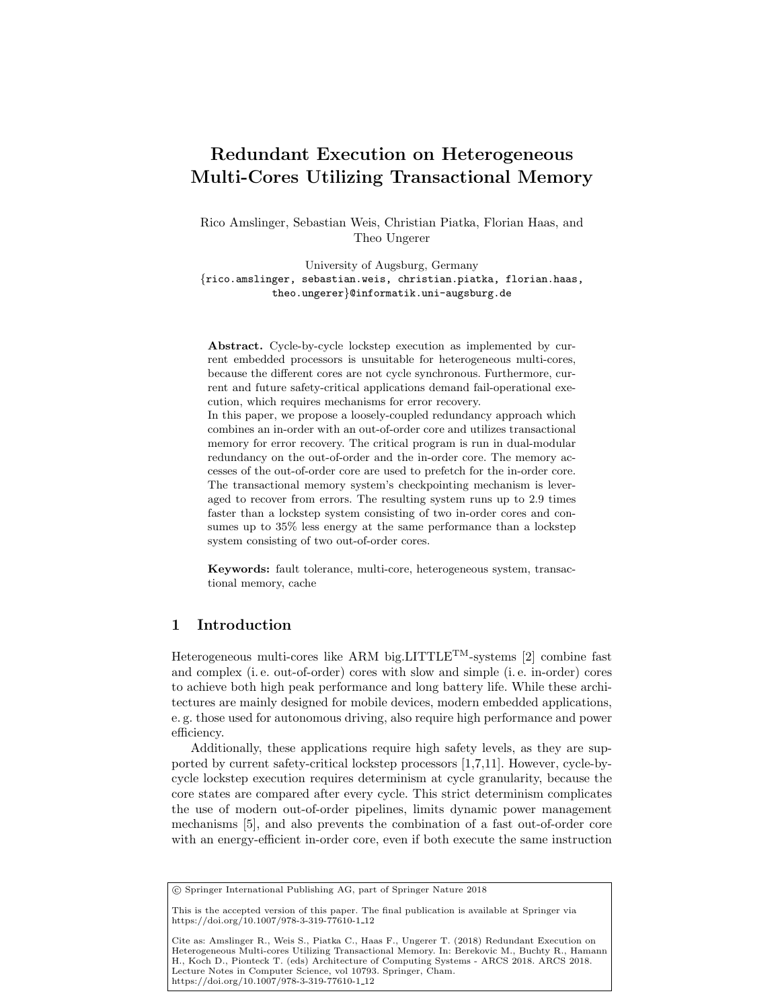# Redundant Execution on Heterogeneous Multi-Cores Utilizing Transactional Memory

Rico Amslinger, Sebastian Weis, Christian Piatka, Florian Haas, and Theo Ungerer

University of Augsburg, Germany {rico.amslinger, sebastian.weis, christian.piatka, florian.haas, theo.ungerer}@informatik.uni-augsburg.de

Abstract. Cycle-by-cycle lockstep execution as implemented by current embedded processors is unsuitable for heterogeneous multi-cores, because the different cores are not cycle synchronous. Furthermore, current and future safety-critical applications demand fail-operational execution, which requires mechanisms for error recovery.

In this paper, we propose a loosely-coupled redundancy approach which combines an in-order with an out-of-order core and utilizes transactional memory for error recovery. The critical program is run in dual-modular redundancy on the out-of-order and the in-order core. The memory accesses of the out-of-order core are used to prefetch for the in-order core. The transactional memory system's checkpointing mechanism is leveraged to recover from errors. The resulting system runs up to 2.9 times faster than a lockstep system consisting of two in-order cores and consumes up to 35% less energy at the same performance than a lockstep system consisting of two out-of-order cores.

Keywords: fault tolerance, multi-core, heterogeneous system, transactional memory, cache

# 1 Introduction

Heterogeneous multi-cores like ARM big.LITTLE<sup>TM</sup>-systems [\[2\]](#page-10-0) combine fast and complex (i. e. out-of-order) cores with slow and simple (i. e. in-order) cores to achieve both high peak performance and long battery life. While these architectures are mainly designed for mobile devices, modern embedded applications, e. g. those used for autonomous driving, also require high performance and power efficiency.

Additionally, these applications require high safety levels, as they are supported by current safety-critical lockstep processors [\[1,](#page-10-1)[7,](#page-10-2)[11\]](#page-11-0). However, cycle-bycycle lockstep execution requires determinism at cycle granularity, because the core states are compared after every cycle. This strict determinism complicates the use of modern out-of-order pipelines, limits dynamic power management mechanisms [\[5\]](#page-10-3), and also prevents the combination of a fast out-of-order core with an energy-efficient in-order core, even if both execute the same instruction

c Springer International Publishing AG, part of Springer Nature 2018

This is the accepted version of this paper. The final publication is available at Springer via [https://doi.org/10.1007/978-3-319-77610-1](https://doi.org/10.1007/978-3-319-77610-1_12) 12

Cite as: Amslinger R., Weis S., Piatka C., Haas F., Ungerer T. (2018) Redundant Execution on Heterogeneous Multi-cores Utilizing Transactional Memory. In: Berekovic M., Buchty R., Hamann H., Koch D., Pionteck T. (eds) Architecture of Computing Systems - ARCS 2018. ARCS 2018. Lecture Notes in Computer Science, vol 10793. Springer, Cham. [https://doi.org/10.1007/978-3-319-77610-1](https://doi.org/10.1007/978-3-319-77610-1_12) 12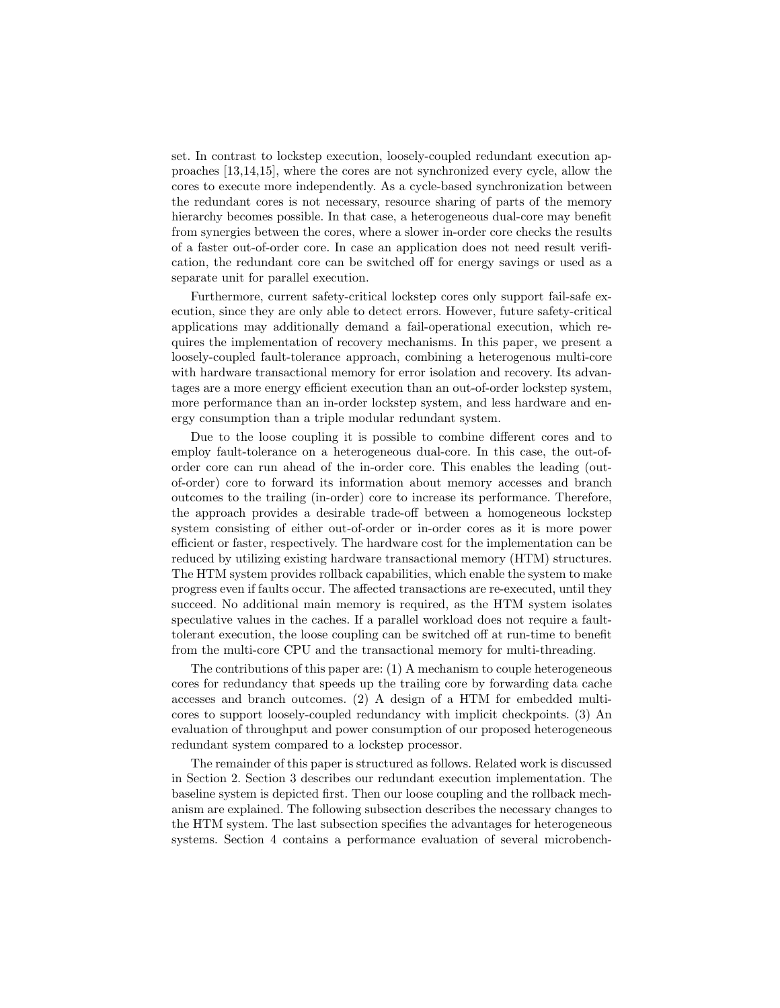set. In contrast to lockstep execution, loosely-coupled redundant execution approaches [\[13](#page-11-1)[,14,](#page-11-2)[15\]](#page-11-3), where the cores are not synchronized every cycle, allow the cores to execute more independently. As a cycle-based synchronization between the redundant cores is not necessary, resource sharing of parts of the memory hierarchy becomes possible. In that case, a heterogeneous dual-core may benefit from synergies between the cores, where a slower in-order core checks the results of a faster out-of-order core. In case an application does not need result verification, the redundant core can be switched off for energy savings or used as a separate unit for parallel execution.

Furthermore, current safety-critical lockstep cores only support fail-safe execution, since they are only able to detect errors. However, future safety-critical applications may additionally demand a fail-operational execution, which requires the implementation of recovery mechanisms. In this paper, we present a loosely-coupled fault-tolerance approach, combining a heterogenous multi-core with hardware transactional memory for error isolation and recovery. Its advantages are a more energy efficient execution than an out-of-order lockstep system, more performance than an in-order lockstep system, and less hardware and energy consumption than a triple modular redundant system.

Due to the loose coupling it is possible to combine different cores and to employ fault-tolerance on a heterogeneous dual-core. In this case, the out-oforder core can run ahead of the in-order core. This enables the leading (outof-order) core to forward its information about memory accesses and branch outcomes to the trailing (in-order) core to increase its performance. Therefore, the approach provides a desirable trade-off between a homogeneous lockstep system consisting of either out-of-order or in-order cores as it is more power efficient or faster, respectively. The hardware cost for the implementation can be reduced by utilizing existing hardware transactional memory (HTM) structures. The HTM system provides rollback capabilities, which enable the system to make progress even if faults occur. The affected transactions are re-executed, until they succeed. No additional main memory is required, as the HTM system isolates speculative values in the caches. If a parallel workload does not require a faulttolerant execution, the loose coupling can be switched off at run-time to benefit from the multi-core CPU and the transactional memory for multi-threading.

The contributions of this paper are: (1) A mechanism to couple heterogeneous cores for redundancy that speeds up the trailing core by forwarding data cache accesses and branch outcomes. (2) A design of a HTM for embedded multicores to support loosely-coupled redundancy with implicit checkpoints. (3) An evaluation of throughput and power consumption of our proposed heterogeneous redundant system compared to a lockstep processor.

The remainder of this paper is structured as follows. Related work is discussed in Section [2.](#page-2-0) Section [3](#page-2-1) describes our redundant execution implementation. The baseline system is depicted first. Then our loose coupling and the rollback mechanism are explained. The following subsection describes the necessary changes to the HTM system. The last subsection specifies the advantages for heterogeneous systems. Section [4](#page-6-0) contains a performance evaluation of several microbench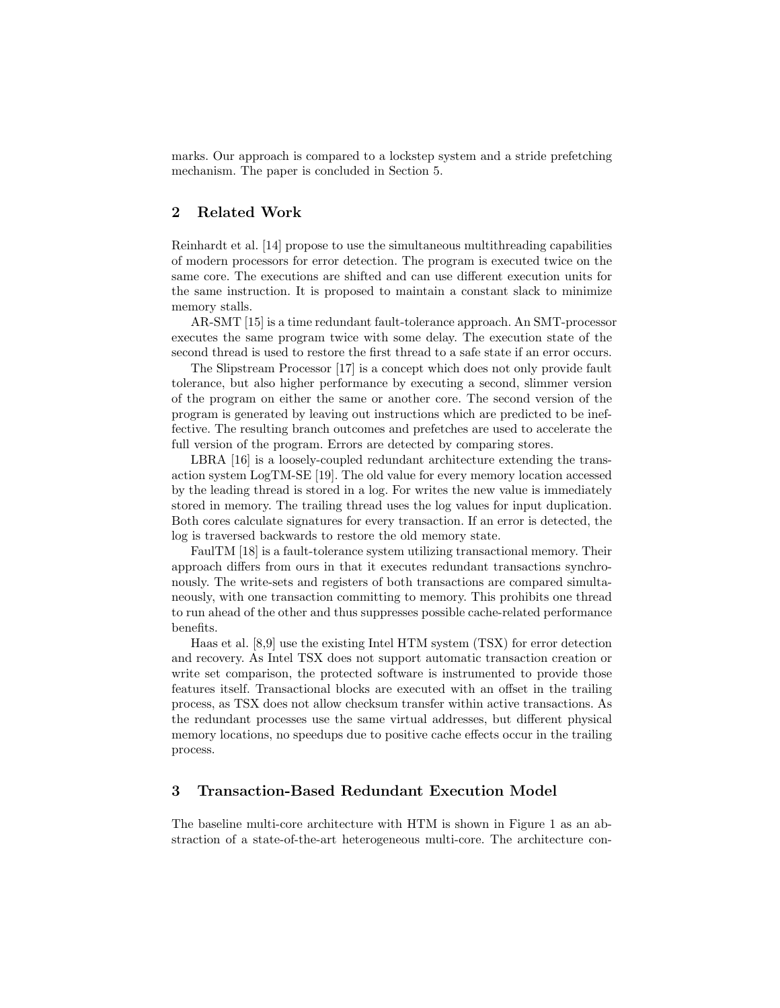marks. Our approach is compared to a lockstep system and a stride prefetching mechanism. The paper is concluded in Section [5.](#page-9-0)

# <span id="page-2-0"></span>2 Related Work

Reinhardt et al. [\[14\]](#page-11-2) propose to use the simultaneous multithreading capabilities of modern processors for error detection. The program is executed twice on the same core. The executions are shifted and can use different execution units for the same instruction. It is proposed to maintain a constant slack to minimize memory stalls.

AR-SMT [\[15\]](#page-11-3) is a time redundant fault-tolerance approach. An SMT-processor executes the same program twice with some delay. The execution state of the second thread is used to restore the first thread to a safe state if an error occurs.

The Slipstream Processor [\[17\]](#page-11-4) is a concept which does not only provide fault tolerance, but also higher performance by executing a second, slimmer version of the program on either the same or another core. The second version of the program is generated by leaving out instructions which are predicted to be ineffective. The resulting branch outcomes and prefetches are used to accelerate the full version of the program. Errors are detected by comparing stores.

LBRA [\[16\]](#page-11-5) is a loosely-coupled redundant architecture extending the transaction system LogTM-SE [\[19\]](#page-11-6). The old value for every memory location accessed by the leading thread is stored in a log. For writes the new value is immediately stored in memory. The trailing thread uses the log values for input duplication. Both cores calculate signatures for every transaction. If an error is detected, the log is traversed backwards to restore the old memory state.

FaulTM [\[18\]](#page-11-7) is a fault-tolerance system utilizing transactional memory. Their approach differs from ours in that it executes redundant transactions synchronously. The write-sets and registers of both transactions are compared simultaneously, with one transaction committing to memory. This prohibits one thread to run ahead of the other and thus suppresses possible cache-related performance benefits.

Haas et al. [\[8,](#page-10-4)[9\]](#page-11-8) use the existing Intel HTM system (TSX) for error detection and recovery. As Intel TSX does not support automatic transaction creation or write set comparison, the protected software is instrumented to provide those features itself. Transactional blocks are executed with an offset in the trailing process, as TSX does not allow checksum transfer within active transactions. As the redundant processes use the same virtual addresses, but different physical memory locations, no speedups due to positive cache effects occur in the trailing process.

# <span id="page-2-1"></span>3 Transaction-Based Redundant Execution Model

The baseline multi-core architecture with HTM is shown in Figure [1](#page-3-0) as an abstraction of a state-of-the-art heterogeneous multi-core. The architecture con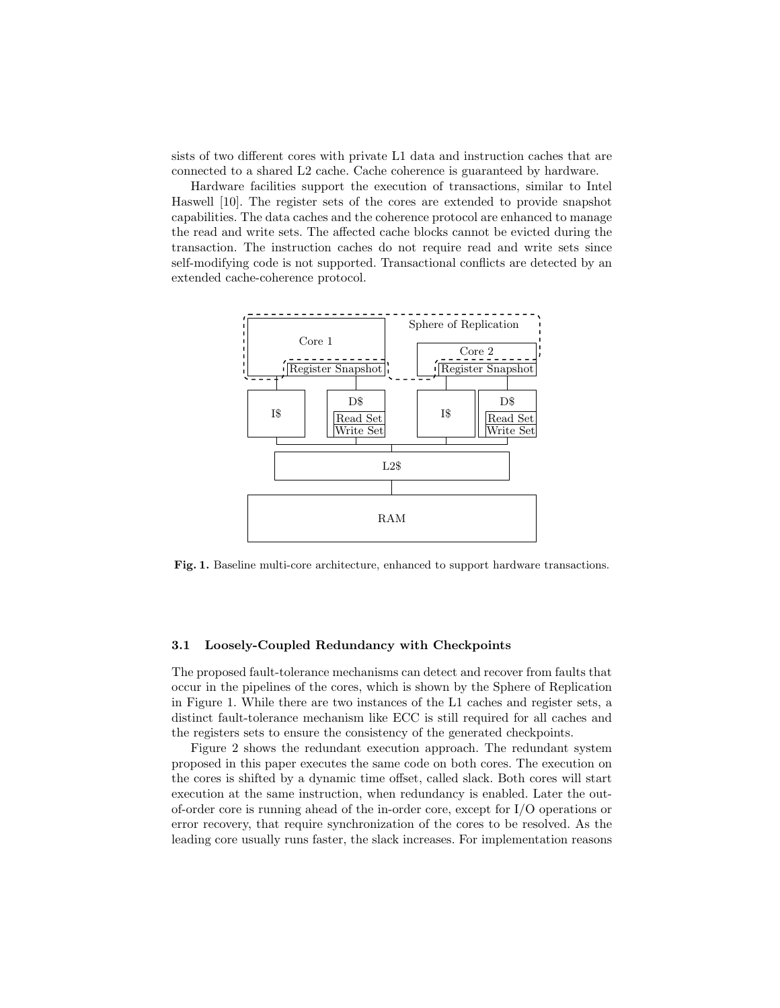sists of two different cores with private L1 data and instruction caches that are connected to a shared L2 cache. Cache coherence is guaranteed by hardware.

Hardware facilities support the execution of transactions, similar to Intel Haswell [\[10\]](#page-11-9). The register sets of the cores are extended to provide snapshot capabilities. The data caches and the coherence protocol are enhanced to manage the read and write sets. The affected cache blocks cannot be evicted during the transaction. The instruction caches do not require read and write sets since self-modifying code is not supported. Transactional conflicts are detected by an extended cache-coherence protocol.



<span id="page-3-0"></span>Fig. 1. Baseline multi-core architecture, enhanced to support hardware transactions.

#### 3.1 Loosely-Coupled Redundancy with Checkpoints

The proposed fault-tolerance mechanisms can detect and recover from faults that occur in the pipelines of the cores, which is shown by the Sphere of Replication in Figure [1.](#page-3-0) While there are two instances of the L1 caches and register sets, a distinct fault-tolerance mechanism like ECC is still required for all caches and the registers sets to ensure the consistency of the generated checkpoints.

Figure [2](#page-4-0) shows the redundant execution approach. The redundant system proposed in this paper executes the same code on both cores. The execution on the cores is shifted by a dynamic time offset, called slack. Both cores will start execution at the same instruction, when redundancy is enabled. Later the outof-order core is running ahead of the in-order core, except for I/O operations or error recovery, that require synchronization of the cores to be resolved. As the leading core usually runs faster, the slack increases. For implementation reasons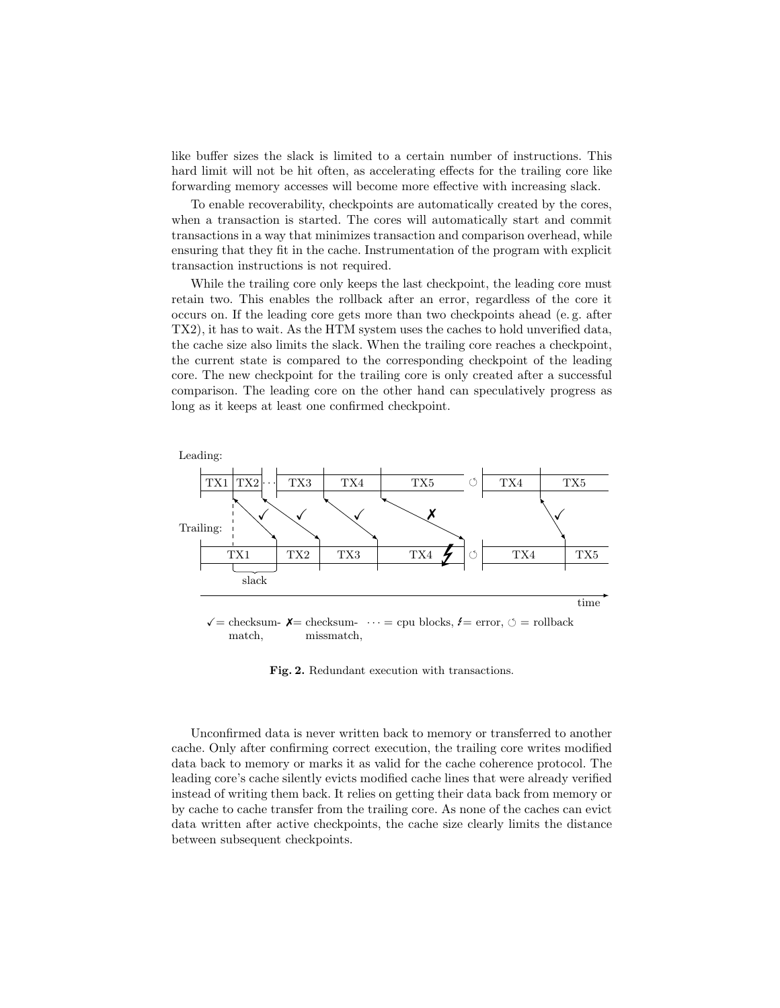like buffer sizes the slack is limited to a certain number of instructions. This hard limit will not be hit often, as accelerating effects for the trailing core like forwarding memory accesses will become more effective with increasing slack.

To enable recoverability, checkpoints are automatically created by the cores, when a transaction is started. The cores will automatically start and commit transactions in a way that minimizes transaction and comparison overhead, while ensuring that they fit in the cache. Instrumentation of the program with explicit transaction instructions is not required.

While the trailing core only keeps the last checkpoint, the leading core must retain two. This enables the rollback after an error, regardless of the core it occurs on. If the leading core gets more than two checkpoints ahead (e. g. after TX2), it has to wait. As the HTM system uses the caches to hold unverified data, the cache size also limits the slack. When the trailing core reaches a checkpoint, the current state is compared to the corresponding checkpoint of the leading core. The new checkpoint for the trailing core is only created after a successful comparison. The leading core on the other hand can speculatively progress as long as it keeps at least one confirmed checkpoint.



<span id="page-4-0"></span>Fig. 2. Redundant execution with transactions.

Unconfirmed data is never written back to memory or transferred to another cache. Only after confirming correct execution, the trailing core writes modified data back to memory or marks it as valid for the cache coherence protocol. The leading core's cache silently evicts modified cache lines that were already verified instead of writing them back. It relies on getting their data back from memory or by cache to cache transfer from the trailing core. As none of the caches can evict data written after active checkpoints, the cache size clearly limits the distance between subsequent checkpoints.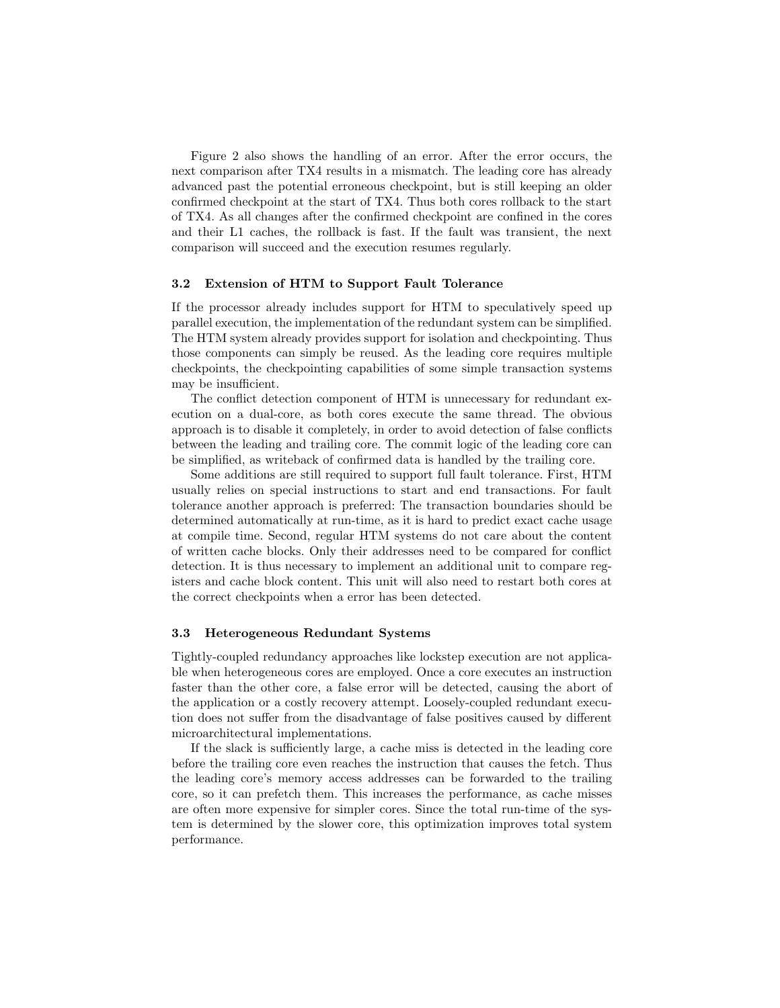Figure [2](#page-4-0) also shows the handling of an error. After the error occurs, the next comparison after TX4 results in a mismatch. The leading core has already advanced past the potential erroneous checkpoint, but is still keeping an older confirmed checkpoint at the start of TX4. Thus both cores rollback to the start of TX4. As all changes after the confirmed checkpoint are confined in the cores and their L1 caches, the rollback is fast. If the fault was transient, the next comparison will succeed and the execution resumes regularly.

#### 3.2 Extension of HTM to Support Fault Tolerance

If the processor already includes support for HTM to speculatively speed up parallel execution, the implementation of the redundant system can be simplified. The HTM system already provides support for isolation and checkpointing. Thus those components can simply be reused. As the leading core requires multiple checkpoints, the checkpointing capabilities of some simple transaction systems may be insufficient.

The conflict detection component of HTM is unnecessary for redundant execution on a dual-core, as both cores execute the same thread. The obvious approach is to disable it completely, in order to avoid detection of false conflicts between the leading and trailing core. The commit logic of the leading core can be simplified, as writeback of confirmed data is handled by the trailing core.

Some additions are still required to support full fault tolerance. First, HTM usually relies on special instructions to start and end transactions. For fault tolerance another approach is preferred: The transaction boundaries should be determined automatically at run-time, as it is hard to predict exact cache usage at compile time. Second, regular HTM systems do not care about the content of written cache blocks. Only their addresses need to be compared for conflict detection. It is thus necessary to implement an additional unit to compare registers and cache block content. This unit will also need to restart both cores at the correct checkpoints when a error has been detected.

#### 3.3 Heterogeneous Redundant Systems

Tightly-coupled redundancy approaches like lockstep execution are not applicable when heterogeneous cores are employed. Once a core executes an instruction faster than the other core, a false error will be detected, causing the abort of the application or a costly recovery attempt. Loosely-coupled redundant execution does not suffer from the disadvantage of false positives caused by different microarchitectural implementations.

If the slack is sufficiently large, a cache miss is detected in the leading core before the trailing core even reaches the instruction that causes the fetch. Thus the leading core's memory access addresses can be forwarded to the trailing core, so it can prefetch them. This increases the performance, as cache misses are often more expensive for simpler cores. Since the total run-time of the system is determined by the slower core, this optimization improves total system performance.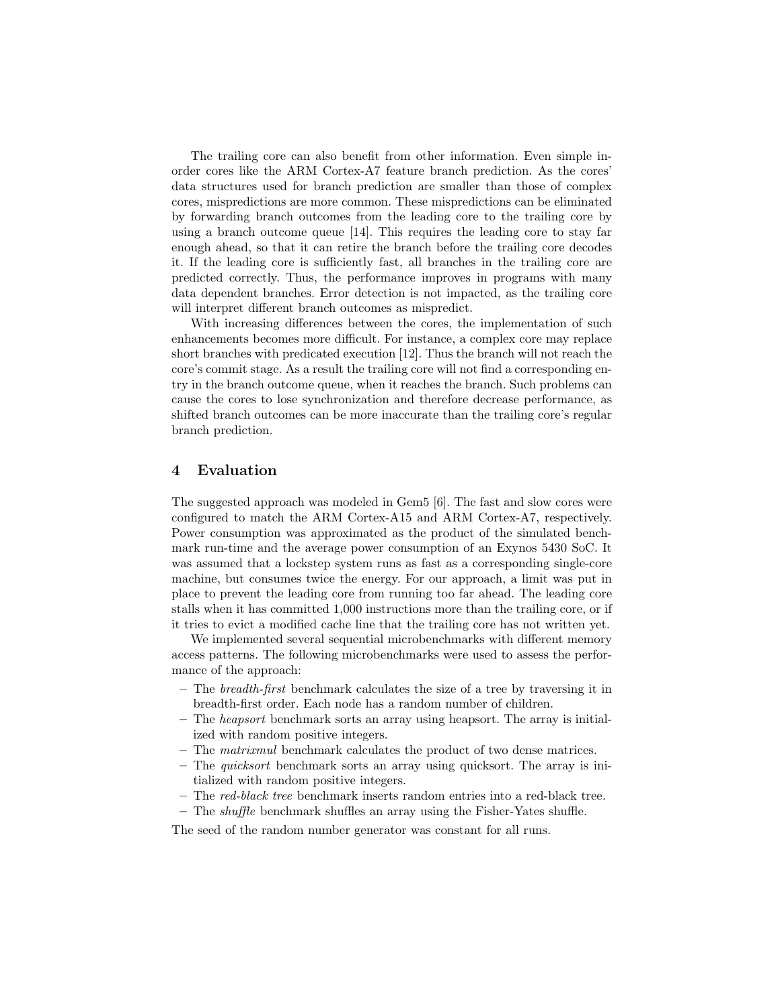The trailing core can also benefit from other information. Even simple inorder cores like the ARM Cortex-A7 feature branch prediction. As the cores' data structures used for branch prediction are smaller than those of complex cores, mispredictions are more common. These mispredictions can be eliminated by forwarding branch outcomes from the leading core to the trailing core by using a branch outcome queue [\[14\]](#page-11-2). This requires the leading core to stay far enough ahead, so that it can retire the branch before the trailing core decodes it. If the leading core is sufficiently fast, all branches in the trailing core are predicted correctly. Thus, the performance improves in programs with many data dependent branches. Error detection is not impacted, as the trailing core will interpret different branch outcomes as mispredict.

With increasing differences between the cores, the implementation of such enhancements becomes more difficult. For instance, a complex core may replace short branches with predicated execution [\[12\]](#page-11-10). Thus the branch will not reach the core's commit stage. As a result the trailing core will not find a corresponding entry in the branch outcome queue, when it reaches the branch. Such problems can cause the cores to lose synchronization and therefore decrease performance, as shifted branch outcomes can be more inaccurate than the trailing core's regular branch prediction.

### <span id="page-6-0"></span>4 Evaluation

The suggested approach was modeled in Gem5 [\[6\]](#page-10-5). The fast and slow cores were configured to match the ARM Cortex-A15 and ARM Cortex-A7, respectively. Power consumption was approximated as the product of the simulated benchmark run-time and the average power consumption of an Exynos 5430 SoC. It was assumed that a lockstep system runs as fast as a corresponding single-core machine, but consumes twice the energy. For our approach, a limit was put in place to prevent the leading core from running too far ahead. The leading core stalls when it has committed 1,000 instructions more than the trailing core, or if it tries to evict a modified cache line that the trailing core has not written yet.

We implemented several sequential microbenchmarks with different memory access patterns. The following microbenchmarks were used to assess the performance of the approach:

- The breadth-first benchmark calculates the size of a tree by traversing it in breadth-first order. Each node has a random number of children.
- The heapsort benchmark sorts an array using heapsort. The array is initialized with random positive integers.
- The matrixmul benchmark calculates the product of two dense matrices.
- The quicksort benchmark sorts an array using quicksort. The array is initialized with random positive integers.
- The red-black tree benchmark inserts random entries into a red-black tree.
- The *shuffle* benchmark shuffles an array using the Fisher-Yates shuffle.

The seed of the random number generator was constant for all runs.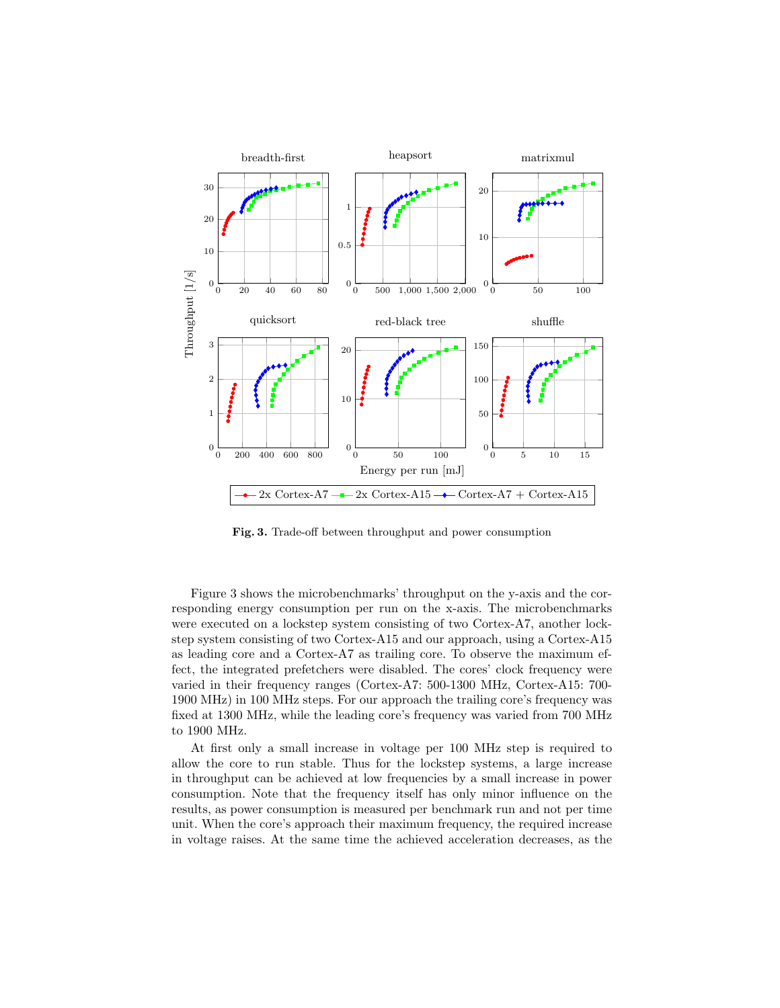

<span id="page-7-0"></span>Fig. 3. Trade-off between throughput and power consumption

Figure [3](#page-7-0) shows the microbenchmarks' throughput on the y-axis and the corresponding energy consumption per run on the x-axis. The microbenchmarks were executed on a lockstep system consisting of two Cortex-A7, another lockstep system consisting of two Cortex-A15 and our approach, using a Cortex-A15 as leading core and a Cortex-A7 as trailing core. To observe the maximum effect, the integrated prefetchers were disabled. The cores' clock frequency were varied in their frequency ranges (Cortex-A7: 500-1300 MHz, Cortex-A15: 700- 1900 MHz) in 100 MHz steps. For our approach the trailing core's frequency was fixed at 1300 MHz, while the leading core's frequency was varied from 700 MHz to 1900 MHz.

At first only a small increase in voltage per 100 MHz step is required to allow the core to run stable. Thus for the lockstep systems, a large increase in throughput can be achieved at low frequencies by a small increase in power consumption. Note that the frequency itself has only minor influence on the results, as power consumption is measured per benchmark run and not per time unit. When the core's approach their maximum frequency, the required increase in voltage raises. At the same time the achieved acceleration decreases, as the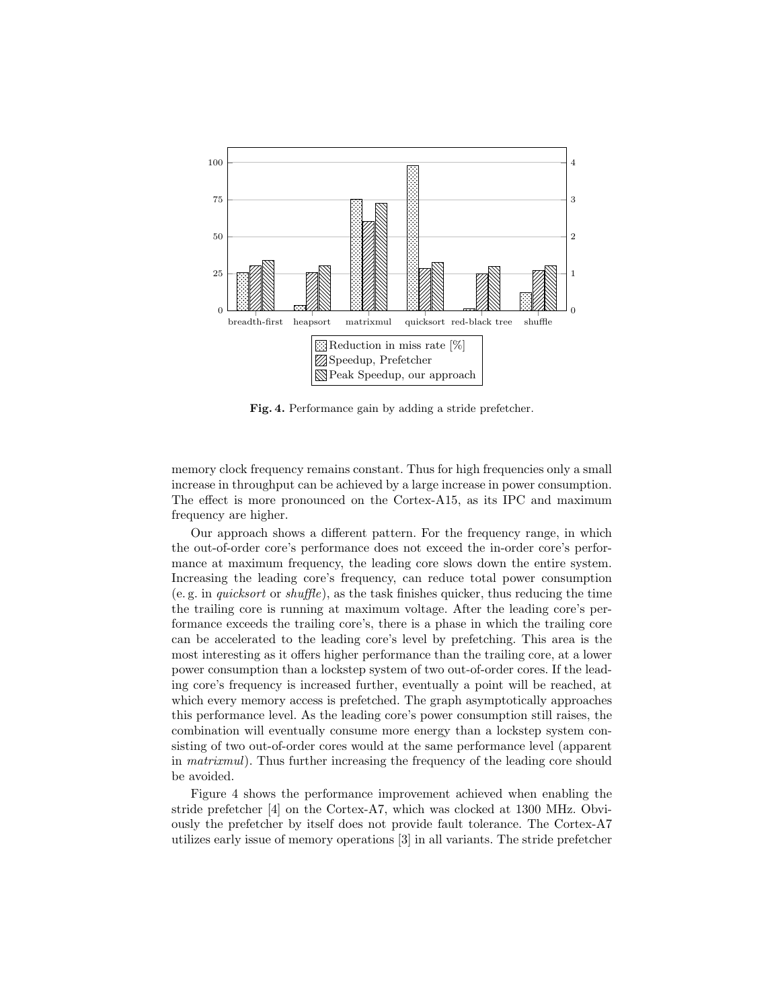

<span id="page-8-0"></span>Fig. 4. Performance gain by adding a stride prefetcher.

memory clock frequency remains constant. Thus for high frequencies only a small increase in throughput can be achieved by a large increase in power consumption. The effect is more pronounced on the Cortex-A15, as its IPC and maximum frequency are higher.

Our approach shows a different pattern. For the frequency range, in which the out-of-order core's performance does not exceed the in-order core's performance at maximum frequency, the leading core slows down the entire system. Increasing the leading core's frequency, can reduce total power consumption (e. g. in *quicksort* or *shuffle*), as the task finishes quicker, thus reducing the time the trailing core is running at maximum voltage. After the leading core's performance exceeds the trailing core's, there is a phase in which the trailing core can be accelerated to the leading core's level by prefetching. This area is the most interesting as it offers higher performance than the trailing core, at a lower power consumption than a lockstep system of two out-of-order cores. If the leading core's frequency is increased further, eventually a point will be reached, at which every memory access is prefetched. The graph asymptotically approaches this performance level. As the leading core's power consumption still raises, the combination will eventually consume more energy than a lockstep system consisting of two out-of-order cores would at the same performance level (apparent in matrixmul). Thus further increasing the frequency of the leading core should be avoided.

Figure [4](#page-8-0) shows the performance improvement achieved when enabling the stride prefetcher [\[4\]](#page-10-6) on the Cortex-A7, which was clocked at 1300 MHz. Obviously the prefetcher by itself does not provide fault tolerance. The Cortex-A7 utilizes early issue of memory operations [\[3\]](#page-10-7) in all variants. The stride prefetcher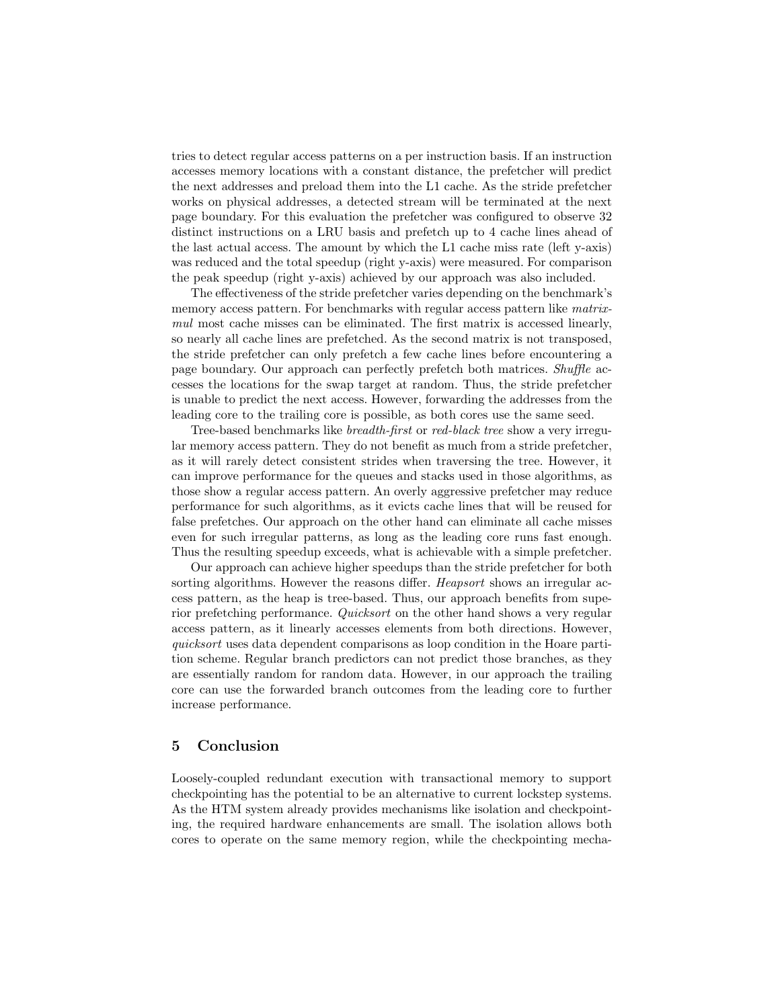tries to detect regular access patterns on a per instruction basis. If an instruction accesses memory locations with a constant distance, the prefetcher will predict the next addresses and preload them into the L1 cache. As the stride prefetcher works on physical addresses, a detected stream will be terminated at the next page boundary. For this evaluation the prefetcher was configured to observe 32 distinct instructions on a LRU basis and prefetch up to 4 cache lines ahead of the last actual access. The amount by which the L1 cache miss rate (left y-axis) was reduced and the total speedup (right y-axis) were measured. For comparison the peak speedup (right y-axis) achieved by our approach was also included.

The effectiveness of the stride prefetcher varies depending on the benchmark's memory access pattern. For benchmarks with regular access pattern like *matrix*mul most cache misses can be eliminated. The first matrix is accessed linearly, so nearly all cache lines are prefetched. As the second matrix is not transposed, the stride prefetcher can only prefetch a few cache lines before encountering a page boundary. Our approach can perfectly prefetch both matrices. Shuffle accesses the locations for the swap target at random. Thus, the stride prefetcher is unable to predict the next access. However, forwarding the addresses from the leading core to the trailing core is possible, as both cores use the same seed.

Tree-based benchmarks like breadth-first or red-black tree show a very irregular memory access pattern. They do not benefit as much from a stride prefetcher, as it will rarely detect consistent strides when traversing the tree. However, it can improve performance for the queues and stacks used in those algorithms, as those show a regular access pattern. An overly aggressive prefetcher may reduce performance for such algorithms, as it evicts cache lines that will be reused for false prefetches. Our approach on the other hand can eliminate all cache misses even for such irregular patterns, as long as the leading core runs fast enough. Thus the resulting speedup exceeds, what is achievable with a simple prefetcher.

Our approach can achieve higher speedups than the stride prefetcher for both sorting algorithms. However the reasons differ. *Heapsort* shows an irregular access pattern, as the heap is tree-based. Thus, our approach benefits from superior prefetching performance. Quicksort on the other hand shows a very regular access pattern, as it linearly accesses elements from both directions. However, quicksort uses data dependent comparisons as loop condition in the Hoare partition scheme. Regular branch predictors can not predict those branches, as they are essentially random for random data. However, in our approach the trailing core can use the forwarded branch outcomes from the leading core to further increase performance.

## <span id="page-9-0"></span>5 Conclusion

Loosely-coupled redundant execution with transactional memory to support checkpointing has the potential to be an alternative to current lockstep systems. As the HTM system already provides mechanisms like isolation and checkpointing, the required hardware enhancements are small. The isolation allows both cores to operate on the same memory region, while the checkpointing mecha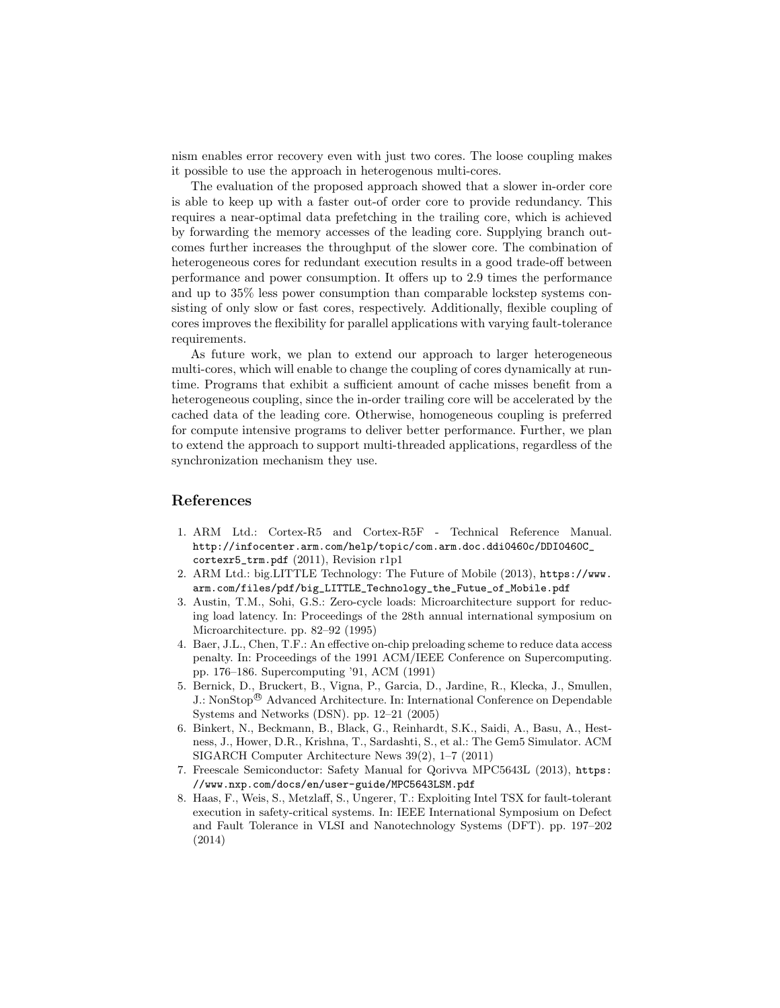nism enables error recovery even with just two cores. The loose coupling makes it possible to use the approach in heterogenous multi-cores.

The evaluation of the proposed approach showed that a slower in-order core is able to keep up with a faster out-of order core to provide redundancy. This requires a near-optimal data prefetching in the trailing core, which is achieved by forwarding the memory accesses of the leading core. Supplying branch outcomes further increases the throughput of the slower core. The combination of heterogeneous cores for redundant execution results in a good trade-off between performance and power consumption. It offers up to 2.9 times the performance and up to 35% less power consumption than comparable lockstep systems consisting of only slow or fast cores, respectively. Additionally, flexible coupling of cores improves the flexibility for parallel applications with varying fault-tolerance requirements.

As future work, we plan to extend our approach to larger heterogeneous multi-cores, which will enable to change the coupling of cores dynamically at runtime. Programs that exhibit a sufficient amount of cache misses benefit from a heterogeneous coupling, since the in-order trailing core will be accelerated by the cached data of the leading core. Otherwise, homogeneous coupling is preferred for compute intensive programs to deliver better performance. Further, we plan to extend the approach to support multi-threaded applications, regardless of the synchronization mechanism they use.

# References

- <span id="page-10-1"></span>1. ARM Ltd.: Cortex-R5 and Cortex-R5F - Technical Reference Manual. [http://infocenter.arm.com/help/topic/com.arm.doc.ddi0460c/DDI0460C\\_](http://infocenter.arm.com/help/topic/com.arm.doc.ddi0460c/DDI0460C_cortexr5_trm.pdf) [cortexr5\\_trm.pdf](http://infocenter.arm.com/help/topic/com.arm.doc.ddi0460c/DDI0460C_cortexr5_trm.pdf) (2011), Revision r1p1
- <span id="page-10-0"></span>2. ARM Ltd.: big.LITTLE Technology: The Future of Mobile (2013), [https://www.](https://www.arm.com/files/pdf/big_LITTLE_Technology_the_Futue_of_Mobile.pdf) [arm.com/files/pdf/big\\_LITTLE\\_Technology\\_the\\_Futue\\_of\\_Mobile.pdf](https://www.arm.com/files/pdf/big_LITTLE_Technology_the_Futue_of_Mobile.pdf)
- <span id="page-10-7"></span>3. Austin, T.M., Sohi, G.S.: Zero-cycle loads: Microarchitecture support for reducing load latency. In: Proceedings of the 28th annual international symposium on Microarchitecture. pp. 82–92 (1995)
- <span id="page-10-6"></span>4. Baer, J.L., Chen, T.F.: An effective on-chip preloading scheme to reduce data access penalty. In: Proceedings of the 1991 ACM/IEEE Conference on Supercomputing. pp. 176–186. Supercomputing '91, ACM (1991)
- <span id="page-10-3"></span>5. Bernick, D., Bruckert, B., Vigna, P., Garcia, D., Jardine, R., Klecka, J., Smullen, J.: NonStop<sup>®</sup> Advanced Architecture. In: International Conference on Dependable Systems and Networks (DSN). pp. 12–21 (2005)
- <span id="page-10-5"></span>6. Binkert, N., Beckmann, B., Black, G., Reinhardt, S.K., Saidi, A., Basu, A., Hestness, J., Hower, D.R., Krishna, T., Sardashti, S., et al.: The Gem5 Simulator. ACM SIGARCH Computer Architecture News 39(2), 1–7 (2011)
- <span id="page-10-2"></span>7. Freescale Semiconductor: Safety Manual for Qorivva MPC5643L (2013), [https:](https://www.nxp.com/docs/en/user-guide/MPC5643LSM.pdf) [//www.nxp.com/docs/en/user-guide/MPC5643LSM.pdf](https://www.nxp.com/docs/en/user-guide/MPC5643LSM.pdf)
- <span id="page-10-4"></span>8. Haas, F., Weis, S., Metzlaff, S., Ungerer, T.: Exploiting Intel TSX for fault-tolerant execution in safety-critical systems. In: IEEE International Symposium on Defect and Fault Tolerance in VLSI and Nanotechnology Systems (DFT). pp. 197–202 (2014)